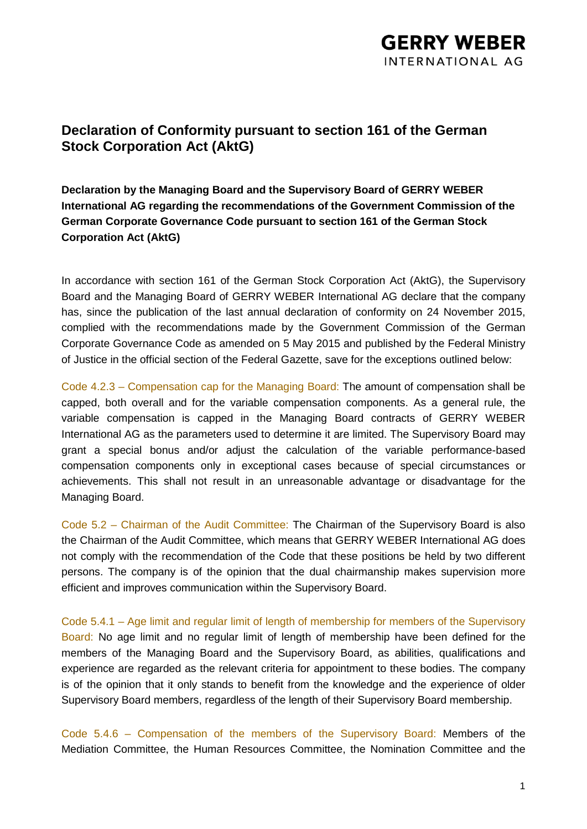## **Declaration of Conformity pursuant to section 161 of the German Stock Corporation Act (AktG)**

**Declaration by the Managing Board and the Supervisory Board of GERRY WEBER International AG regarding the recommendations of the Government Commission of the German Corporate Governance Code pursuant to section 161 of the German Stock Corporation Act (AktG)**

In accordance with section 161 of the German Stock Corporation Act (AktG), the Supervisory Board and the Managing Board of GERRY WEBER International AG declare that the company has, since the publication of the last annual declaration of conformity on 24 November 2015, complied with the recommendations made by the Government Commission of the German Corporate Governance Code as amended on 5 May 2015 and published by the Federal Ministry of Justice in the official section of the Federal Gazette, save for the exceptions outlined below:

Code 4.2.3 – Compensation cap for the Managing Board: The amount of compensation shall be capped, both overall and for the variable compensation components. As a general rule, the variable compensation is capped in the Managing Board contracts of GERRY WEBER International AG as the parameters used to determine it are limited. The Supervisory Board may grant a special bonus and/or adjust the calculation of the variable performance-based compensation components only in exceptional cases because of special circumstances or achievements. This shall not result in an unreasonable advantage or disadvantage for the Managing Board.

Code 5.2 – Chairman of the Audit Committee: The Chairman of the Supervisory Board is also the Chairman of the Audit Committee, which means that GERRY WEBER International AG does not comply with the recommendation of the Code that these positions be held by two different persons. The company is of the opinion that the dual chairmanship makes supervision more efficient and improves communication within the Supervisory Board.

Code 5.4.1 – Age limit and regular limit of length of membership for members of the Supervisory Board: No age limit and no regular limit of length of membership have been defined for the members of the Managing Board and the Supervisory Board, as abilities, qualifications and experience are regarded as the relevant criteria for appointment to these bodies. The company is of the opinion that it only stands to benefit from the knowledge and the experience of older Supervisory Board members, regardless of the length of their Supervisory Board membership.

Code 5.4.6 – Compensation of the members of the Supervisory Board: Members of the Mediation Committee, the Human Resources Committee, the Nomination Committee and the